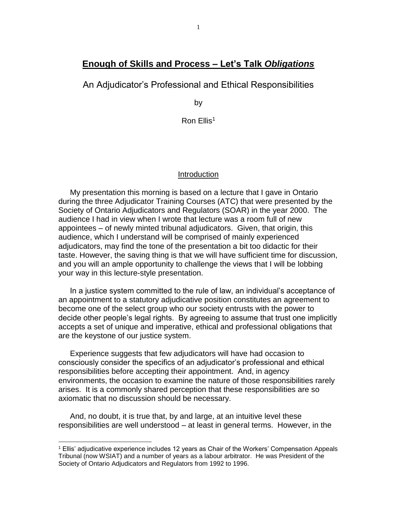# **Enough of Skills and Process – Let's Talk** *Obligations*

An Adjudicator's Professional and Ethical Responsibilities

by

Ron Ellis<sup>1</sup>

### Introduction

My presentation this morning is based on a lecture that I gave in Ontario during the three Adjudicator Training Courses (ATC) that were presented by the Society of Ontario Adjudicators and Regulators (SOAR) in the year 2000. The audience I had in view when I wrote that lecture was a room full of new appointees – of newly minted tribunal adjudicators. Given, that origin, this audience, which I understand will be comprised of mainly experienced adjudicators, may find the tone of the presentation a bit too didactic for their taste. However, the saving thing is that we will have sufficient time for discussion, and you will an ample opportunity to challenge the views that I will be lobbing your way in this lecture-style presentation.

In a justice system committed to the rule of law, an individual's acceptance of an appointment to a statutory adjudicative position constitutes an agreement to become one of the select group who our society entrusts with the power to decide other people's legal rights. By agreeing to assume that trust one implicitly accepts a set of unique and imperative, ethical and professional obligations that are the keystone of our justice system.

Experience suggests that few adjudicators will have had occasion to consciously consider the specifics of an adjudicator's professional and ethical responsibilities before accepting their appointment. And, in agency environments, the occasion to examine the nature of those responsibilities rarely arises. It is a commonly shared perception that these responsibilities are so axiomatic that no discussion should be necessary.

And, no doubt, it is true that, by and large, at an intuitive level these responsibilities are well understood – at least in general terms. However, in the

<sup>1</sup> Ellis' adjudicative experience includes 12 years as Chair of the Workers' Compensation Appeals Tribunal (now WSIAT) and a number of years as a labour arbitrator. He was President of the Society of Ontario Adjudicators and Regulators from 1992 to 1996.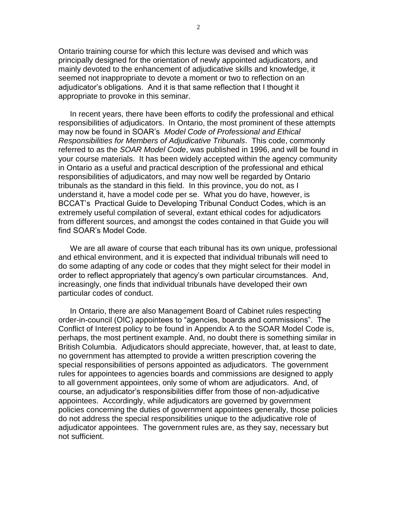Ontario training course for which this lecture was devised and which was principally designed for the orientation of newly appointed adjudicators, and mainly devoted to the enhancement of adjudicative skills and knowledge, it seemed not inappropriate to devote a moment or two to reflection on an adjudicator's obligations. And it is that same reflection that I thought it appropriate to provoke in this seminar.

In recent years, there have been efforts to codify the professional and ethical responsibilities of adjudicators. In Ontario, the most prominent of these attempts may now be found in SOAR's *Model Code of Professional and Ethical Responsibilities for Members of Adjudicative Tribunals*. This code, commonly referred to as the *SOAR Model Code*, was published in 1996, and will be found in your course materials. It has been widely accepted within the agency community in Ontario as a useful and practical description of the professional and ethical responsibilities of adjudicators, and may now well be regarded by Ontario tribunals as the standard in this field. In this province, you do not, as I understand it, have a model code per se. What you do have, however, is BCCAT's Practical Guide to Developing Tribunal Conduct Codes, which is an extremely useful compilation of several, extant ethical codes for adjudicators from different sources, and amongst the codes contained in that Guide you will find SOAR's Model Code.

We are all aware of course that each tribunal has its own unique, professional and ethical environment, and it is expected that individual tribunals will need to do some adapting of any code or codes that they might select for their model in order to reflect appropriately that agency's own particular circumstances. And, increasingly, one finds that individual tribunals have developed their own particular codes of conduct.

In Ontario, there are also Management Board of Cabinet rules respecting order-in-council (OIC) appointees to "agencies, boards and commissions". The Conflict of Interest policy to be found in Appendix A to the SOAR Model Code is, perhaps, the most pertinent example. And, no doubt there is something similar in British Columbia. Adjudicators should appreciate, however, that, at least to date, no government has attempted to provide a written prescription covering the special responsibilities of persons appointed as adjudicators. The government rules for appointees to agencies boards and commissions are designed to apply to all government appointees, only some of whom are adjudicators. And, of course, an adjudicator's responsibilities differ from those of non-adjudicative appointees. Accordingly, while adjudicators are governed by government policies concerning the duties of government appointees generally, those policies do not address the special responsibilities unique to the adjudicative role of adjudicator appointees. The government rules are, as they say, necessary but not sufficient.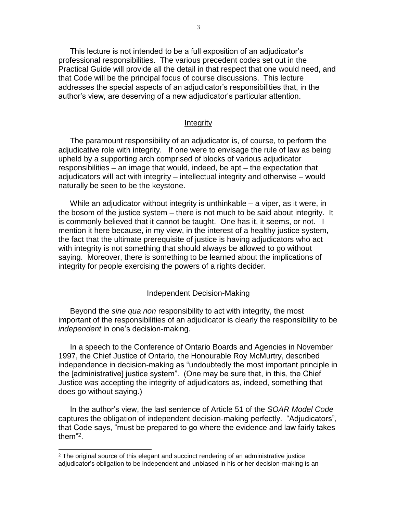This lecture is not intended to be a full exposition of an adjudicator's professional responsibilities. The various precedent codes set out in the Practical Guide will provide all the detail in that respect that one would need, and that Code will be the principal focus of course discussions. This lecture addresses the special aspects of an adjudicator's responsibilities that, in the author's view, are deserving of a new adjudicator's particular attention.

#### **Integrity**

The paramount responsibility of an adjudicator is, of course, to perform the adjudicative role with integrity. If one were to envisage the rule of law as being upheld by a supporting arch comprised of blocks of various adjudicator responsibilities – an image that would, indeed, be apt – the expectation that adjudicators will act with integrity – intellectual integrity and otherwise – would naturally be seen to be the keystone.

While an adjudicator without integrity is unthinkable – a viper, as it were, in the bosom of the justice system – there is not much to be said about integrity. It is commonly believed that it cannot be taught. One has it, it seems, or not. I mention it here because, in my view, in the interest of a healthy justice system, the fact that the ultimate prerequisite of justice is having adjudicators who act with integrity is not something that should always be allowed to go without saying. Moreover, there is something to be learned about the implications of integrity for people exercising the powers of a rights decider.

#### Independent Decision-Making

Beyond the *sine qua non* responsibility to act with integrity, the most important of the responsibilities of an adjudicator is clearly the responsibility to be *independent* in one's decision-making.

In a speech to the Conference of Ontario Boards and Agencies in November 1997, the Chief Justice of Ontario, the Honourable Roy McMurtry, described independence in decision-making as "undoubtedly the most important principle in the [administrative] justice system". (One may be sure that, in this, the Chief Justice *was* accepting the integrity of adjudicators as, indeed, something that does go without saying.)

In the author's view, the last sentence of Article 51 of the *SOAR Model Code* captures the obligation of independent decision-making perfectly. "Adjudicators", that Code says, "must be prepared to go where the evidence and law fairly takes them"<sup>2</sup> .

 $2$  The original source of this elegant and succinct rendering of an administrative justice adjudicator's obligation to be independent and unbiased in his or her decision-making is an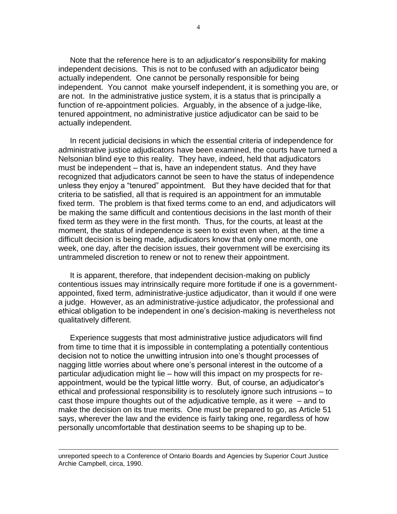Note that the reference here is to an adjudicator's responsibility for making independent decisions. This is not to be confused with an adjudicator being actually independent. One cannot be personally responsible for being independent. You cannot make yourself independent, it is something you are, or are not. In the administrative justice system, it is a status that is principally a function of re-appointment policies. Arguably, in the absence of a judge-like, tenured appointment, no administrative justice adjudicator can be said to be actually independent.

In recent judicial decisions in which the essential criteria of independence for administrative justice adjudicators have been examined, the courts have turned a Nelsonian blind eye to this reality. They have, indeed, held that adjudicators must be independent – that is, have an independent status. And they have recognized that adjudicators cannot be seen to have the status of independence unless they enjoy a "tenured" appointment. But they have decided that for that criteria to be satisfied, all that is required is an appointment for an immutable fixed term. The problem is that fixed terms come to an end, and adjudicators will be making the same difficult and contentious decisions in the last month of their fixed term as they were in the first month. Thus, for the courts, at least at the moment, the status of independence is seen to exist even when, at the time a difficult decision is being made, adjudicators know that only one month, one week, one day, after the decision issues, their government will be exercising its untrammeled discretion to renew or not to renew their appointment.

It is apparent, therefore, that independent decision-making on publicly contentious issues may intrinsically require more fortitude if one is a governmentappointed, fixed term, administrative-justice adjudicator, than it would if one were a judge. However, as an administrative-justice adjudicator, the professional and ethical obligation to be independent in one's decision-making is nevertheless not qualitatively different.

Experience suggests that most administrative justice adjudicators will find from time to time that it is impossible in contemplating a potentially contentious decision not to notice the unwitting intrusion into one's thought processes of nagging little worries about where one's personal interest in the outcome of a particular adjudication might lie – how will this impact on my prospects for reappointment, would be the typical little worry. But, of course, an adjudicator's ethical and professional responsibility is to resolutely ignore such intrusions – to cast those impure thoughts out of the adjudicative temple, as it were – and to make the decision on its true merits. One must be prepared to go, as Article 51 says, wherever the law and the evidence is fairly taking one, regardless of how personally uncomfortable that destination seems to be shaping up to be*.* 

unreported speech to a Conference of Ontario Boards and Agencies by Superior Court Justice Archie Campbell, circa, 1990.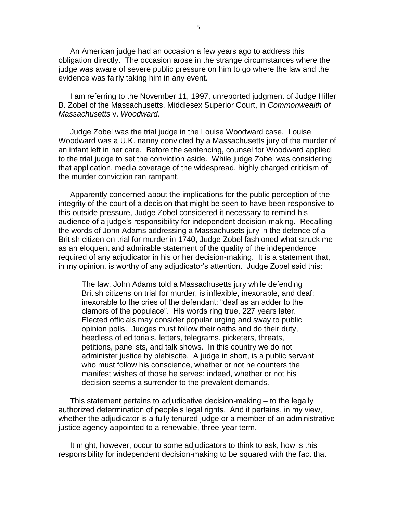An American judge had an occasion a few years ago to address this obligation directly. The occasion arose in the strange circumstances where the judge was aware of severe public pressure on him to go where the law and the evidence was fairly taking him in any event.

I am referring to the November 11, 1997, unreported judgment of Judge Hiller B. Zobel of the Massachusetts, Middlesex Superior Court, in *Commonwealth of Massachusetts* v. *Woodward*.

Judge Zobel was the trial judge in the Louise Woodward case. Louise Woodward was a U.K. nanny convicted by a Massachusetts jury of the murder of an infant left in her care. Before the sentencing, counsel for Woodward applied to the trial judge to set the conviction aside. While judge Zobel was considering that application, media coverage of the widespread, highly charged criticism of the murder conviction ran rampant.

Apparently concerned about the implications for the public perception of the integrity of the court of a decision that might be seen to have been responsive to this outside pressure, Judge Zobel considered it necessary to remind his audience of a judge's responsibility for independent decision-making. Recalling the words of John Adams addressing a Massachusets jury in the defence of a British citizen on trial for murder in 1740, Judge Zobel fashioned what struck me as an eloquent and admirable statement of the quality of the independence required of any adjudicator in his or her decision-making. It is a statement that, in my opinion, is worthy of any adjudicator's attention. Judge Zobel said this:

The law, John Adams told a Massachusetts jury while defending British citizens on trial for murder, is inflexible, inexorable, and deaf: inexorable to the cries of the defendant; "deaf as an adder to the clamors of the populace". His words ring true, 227 years later. Elected officials may consider popular urging and sway to public opinion polls. Judges must follow their oaths and do their duty, heedless of editorials, letters, telegrams, picketers, threats, petitions, panelists, and talk shows. In this country we do not administer justice by plebiscite. A judge in short, is a public servant who must follow his conscience, whether or not he counters the manifest wishes of those he serves; indeed, whether or not his decision seems a surrender to the prevalent demands.

This statement pertains to adjudicative decision-making – to the legally authorized determination of people's legal rights. And it pertains, in my view, whether the adjudicator is a fully tenured judge or a member of an administrative justice agency appointed to a renewable, three-year term.

It might, however, occur to some adjudicators to think to ask, how is this responsibility for independent decision-making to be squared with the fact that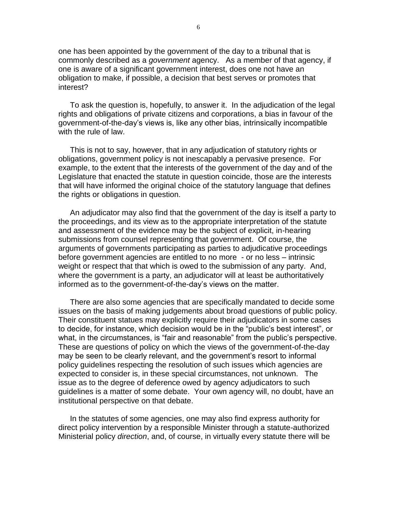one has been appointed by the government of the day to a tribunal that is commonly described as a *government* agency. As a member of that agency, if one is aware of a significant government interest, does one not have an obligation to make, if possible, a decision that best serves or promotes that interest?

To ask the question is, hopefully, to answer it. In the adjudication of the legal rights and obligations of private citizens and corporations, a bias in favour of the government-of-the-day's views is, like any other bias, intrinsically incompatible with the rule of law.

This is not to say, however, that in any adjudication of statutory rights or obligations, government policy is not inescapably a pervasive presence. For example, to the extent that the interests of the government of the day and of the Legislature that enacted the statute in question coincide, those are the interests that will have informed the original choice of the statutory language that defines the rights or obligations in question.

An adjudicator may also find that the government of the day is itself a party to the proceedings, and its view as to the appropriate interpretation of the statute and assessment of the evidence may be the subject of explicit, in-hearing submissions from counsel representing that government. Of course, the arguments of governments participating as parties to adjudicative proceedings before government agencies are entitled to no more - or no less – intrinsic weight or respect that that which is owed to the submission of any party. And, where the government is a party, an adjudicator will at least be authoritatively informed as to the government-of-the-day's views on the matter.

There are also some agencies that are specifically mandated to decide some issues on the basis of making judgements about broad questions of public policy. Their constituent statues may explicitly require their adjudicators in some cases to decide, for instance, which decision would be in the "public's best interest", or what, in the circumstances, is "fair and reasonable" from the public's perspective. These are questions of policy on which the views of the government-of-the-day may be seen to be clearly relevant, and the government's resort to informal policy guidelines respecting the resolution of such issues which agencies are expected to consider is, in these special circumstances, not unknown. The issue as to the degree of deference owed by agency adjudicators to such guidelines is a matter of some debate. Your own agency will, no doubt, have an institutional perspective on that debate.

In the statutes of some agencies, one may also find express authority for direct policy intervention by a responsible Minister through a statute-authorized Ministerial policy *direction*, and, of course, in virtually every statute there will be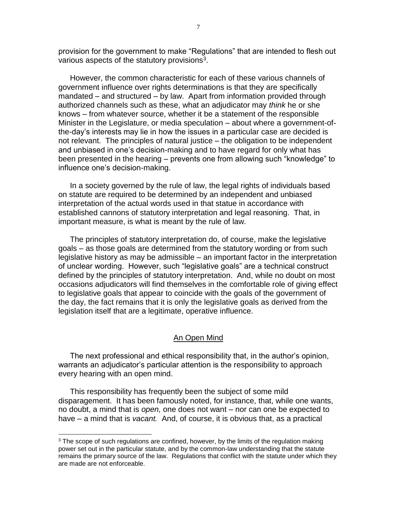provision for the government to make "Regulations" that are intended to flesh out various aspects of the statutory provisions<sup>3</sup>.

However, the common characteristic for each of these various channels of government influence over rights determinations is that they are specifically mandated – and structured – by law. Apart from information provided through authorized channels such as these, what an adjudicator may *think* he or she knows – from whatever source, whether it be a statement of the responsible Minister in the Legislature, or media speculation – about where a government-ofthe-day's interests may lie in how the issues in a particular case are decided is not relevant. The principles of natural justice – the obligation to be independent and unbiased in one's decision-making and to have regard for only what has been presented in the hearing – prevents one from allowing such "knowledge" to influence one's decision-making.

In a society governed by the rule of law, the legal rights of individuals based on statute are required to be determined by an independent and unbiased interpretation of the actual words used in that statue in accordance with established cannons of statutory interpretation and legal reasoning. That, in important measure, is what is meant by the rule of law.

The principles of statutory interpretation do, of course, make the legislative goals – as those goals are determined from the statutory wording or from such legislative history as may be admissible – an important factor in the interpretation of unclear wording. However, such "legislative goals" are a technical construct defined by the principles of statutory interpretation. And, while no doubt on most occasions adjudicators will find themselves in the comfortable role of giving effect to legislative goals that appear to coincide with the goals of the government of the day, the fact remains that it is only the legislative goals as derived from the legislation itself that are a legitimate, operative influence.

#### An Open Mind

The next professional and ethical responsibility that, in the author's opinion, warrants an adjudicator's particular attention is the responsibility to approach every hearing with an open mind.

This responsibility has frequently been the subject of some mild disparagement. It has been famously noted, for instance, that, while one wants, no doubt, a mind that is *open,* one does not want – nor can one be expected to have – a mind that is *vacant.* And, of course, it is obvious that, as a practical

 $3$  The scope of such regulations are confined, however, by the limits of the regulation making power set out in the particular statute, and by the common-law understanding that the statute remains the primary source of the law. Regulations that conflict with the statute under which they are made are not enforceable.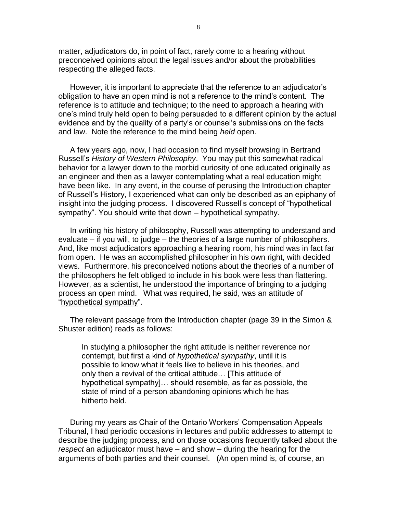matter, adjudicators do, in point of fact, rarely come to a hearing without preconceived opinions about the legal issues and/or about the probabilities respecting the alleged facts.

However, it is important to appreciate that the reference to an adjudicator's obligation to have an open mind is not a reference to the mind's content. The reference is to attitude and technique; to the need to approach a hearing with one's mind truly held open to being persuaded to a different opinion by the actual evidence and by the quality of a party's or counsel's submissions on the facts and law. Note the reference to the mind being *held* open.

A few years ago, now, I had occasion to find myself browsing in Bertrand Russell's *History of Western Philosophy*. You may put this somewhat radical behavior for a lawyer down to the morbid curiosity of one educated originally as an engineer and then as a lawyer contemplating what a real education might have been like. In any event, in the course of perusing the Introduction chapter of Russell's History, I experienced what can only be described as an epiphany of insight into the judging process. I discovered Russell's concept of "hypothetical sympathy". You should write that down – hypothetical sympathy.

In writing his history of philosophy, Russell was attempting to understand and evaluate – if you will, to judge – the theories of a large number of philosophers. And, like most adjudicators approaching a hearing room, his mind was in fact far from open. He was an accomplished philosopher in his own right, with decided views. Furthermore, his preconceived notions about the theories of a number of the philosophers he felt obliged to include in his book were less than flattering. However, as a scientist, he understood the importance of bringing to a judging process an open mind. What was required, he said, was an attitude of "hypothetical sympathy".

The relevant passage from the Introduction chapter (page 39 in the Simon & Shuster edition) reads as follows:

In studying a philosopher the right attitude is neither reverence nor contempt, but first a kind of *hypothetical sympathy*, until it is possible to know what it feels like to believe in his theories, and only then a revival of the critical attitude… [This attitude of hypothetical sympathy]… should resemble, as far as possible, the state of mind of a person abandoning opinions which he has hitherto held.

During my years as Chair of the Ontario Workers' Compensation Appeals Tribunal, I had periodic occasions in lectures and public addresses to attempt to describe the judging process, and on those occasions frequently talked about the *respect* an adjudicator must have – and show – during the hearing for the arguments of both parties and their counsel. (An open mind is, of course, an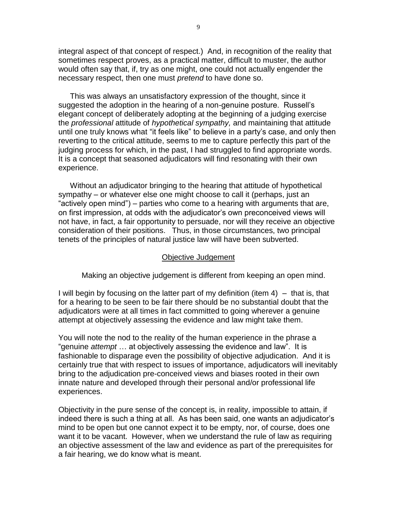integral aspect of that concept of respect.) And, in recognition of the reality that sometimes respect proves, as a practical matter, difficult to muster, the author would often say that, if, try as one might, one could not actually engender the necessary respect, then one must *pretend* to have done so.

This was always an unsatisfactory expression of the thought, since it suggested the adoption in the hearing of a non-genuine posture. Russell's elegant concept of deliberately adopting at the beginning of a judging exercise the *professional* attitude of *hypothetical sympathy,* and maintaining that attitude until one truly knows what "it feels like" to believe in a party's case, and only then reverting to the critical attitude, seems to me to capture perfectly this part of the judging process for which, in the past, I had struggled to find appropriate words. It is a concept that seasoned adjudicators will find resonating with their own experience.

Without an adjudicator bringing to the hearing that attitude of hypothetical sympathy – or whatever else one might choose to call it (perhaps, just an "actively open mind") – parties who come to a hearing with arguments that are, on first impression, at odds with the adjudicator's own preconceived views will not have, in fact, a fair opportunity to persuade, nor will they receive an objective consideration of their positions. Thus, in those circumstances, two principal tenets of the principles of natural justice law will have been subverted.

#### Objective Judgement

Making an objective judgement is different from keeping an open mind.

I will begin by focusing on the latter part of my definition (item 4) – that is, that for a hearing to be seen to be fair there should be no substantial doubt that the adjudicators were at all times in fact committed to going wherever a genuine attempt at objectively assessing the evidence and law might take them.

You will note the nod to the reality of the human experience in the phrase a "genuine *attempt* … at objectively assessing the evidence and law". It is fashionable to disparage even the possibility of objective adjudication. And it is certainly true that with respect to issues of importance, adjudicators will inevitably bring to the adjudication pre-conceived views and biases rooted in their own innate nature and developed through their personal and/or professional life experiences.

Objectivity in the pure sense of the concept is, in reality, impossible to attain, if indeed there is such a thing at all. As has been said, one wants an adjudicator's mind to be open but one cannot expect it to be empty, nor, of course, does one want it to be vacant. However, when we understand the rule of law as requiring an objective assessment of the law and evidence as part of the prerequisites for a fair hearing, we do know what is meant.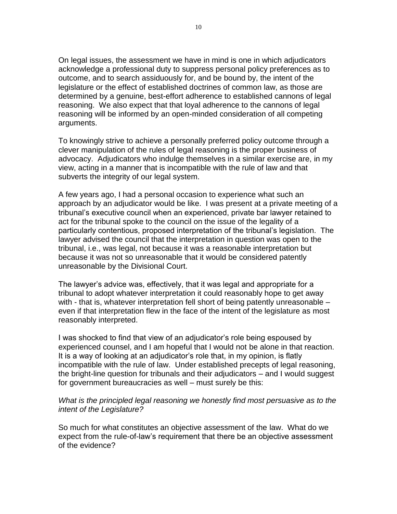On legal issues, the assessment we have in mind is one in which adjudicators acknowledge a professional duty to suppress personal policy preferences as to outcome, and to search assiduously for, and be bound by, the intent of the legislature or the effect of established doctrines of common law, as those are determined by a genuine, best-effort adherence to established cannons of legal reasoning. We also expect that that loyal adherence to the cannons of legal reasoning will be informed by an open-minded consideration of all competing arguments.

To knowingly strive to achieve a personally preferred policy outcome through a clever manipulation of the rules of legal reasoning is the proper business of advocacy. Adjudicators who indulge themselves in a similar exercise are, in my view, acting in a manner that is incompatible with the rule of law and that subverts the integrity of our legal system.

A few years ago, I had a personal occasion to experience what such an approach by an adjudicator would be like. I was present at a private meeting of a tribunal's executive council when an experienced, private bar lawyer retained to act for the tribunal spoke to the council on the issue of the legality of a particularly contentious, proposed interpretation of the tribunal's legislation. The lawyer advised the council that the interpretation in question was open to the tribunal, i.e., was legal, not because it was a reasonable interpretation but because it was not so unreasonable that it would be considered patently unreasonable by the Divisional Court.

The lawyer's advice was, effectively, that it was legal and appropriate for a tribunal to adopt whatever interpretation it could reasonably hope to get away with - that is, whatever interpretation fell short of being patently unreasonable – even if that interpretation flew in the face of the intent of the legislature as most reasonably interpreted.

I was shocked to find that view of an adjudicator's role being espoused by experienced counsel, and I am hopeful that I would not be alone in that reaction. It is a way of looking at an adjudicator's role that, in my opinion, is flatly incompatible with the rule of law. Under established precepts of legal reasoning, the bright-line question for tribunals and their adjudicators – and I would suggest for government bureaucracies as well – must surely be this:

## *What is the principled legal reasoning we honestly find most persuasive as to the intent of the Legislature?*

So much for what constitutes an objective assessment of the law. What do we expect from the rule-of-law's requirement that there be an objective assessment of the evidence?